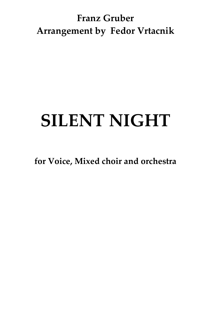## **Franz Gruber Arrangement by Fedor Vrtacnik**

# **SILENT NIGHT**

**for Voice, Mixed choir and orchestra**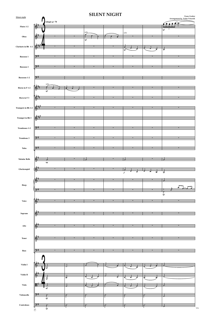

#### **SILENT NIGHT**

| Silent night               | <b>OILLIAT IMMILI</b><br>Adagio q= $70$ |  |   |                |   |                            |  |                         | Franz Gruber<br>Arrangement by Fedor Vrtacnik |
|----------------------------|-----------------------------------------|--|---|----------------|---|----------------------------|--|-------------------------|-----------------------------------------------|
|                            |                                         |  |   |                |   |                            |  |                         | .11                                           |
| Flutes 1-2                 |                                         |  |   |                |   |                            |  | $\mathbf 5$<br>$\it mf$ |                                               |
|                            |                                         |  |   | solo           |   | solo                       |  |                         |                                               |
| Oboe                       | Á<br>$\bullet$                          |  |   | $\it mf$       |   |                            |  |                         |                                               |
|                            |                                         |  |   |                |   |                            |  |                         |                                               |
| <b>Clarinets in Bb</b> 1-2 |                                         |  |   |                |   |                            |  | उ                       |                                               |
| <b>Bassoon 1</b>           |                                         |  |   |                |   | mf                         |  |                         |                                               |
|                            |                                         |  |   |                |   |                            |  |                         |                                               |
| <b>Bassoon 2</b>           |                                         |  |   |                |   |                            |  |                         |                                               |
|                            |                                         |  |   |                |   |                            |  |                         |                                               |
|                            |                                         |  |   |                |   |                            |  |                         |                                               |
| <b>Bassoons 1-2</b>        |                                         |  |   |                |   |                            |  |                         |                                               |
|                            | solo                                    |  |   |                |   |                            |  |                         |                                               |
| Horns in $F$ 1-2           |                                         |  |   |                |   |                            |  |                         |                                               |
|                            | $\it mf$                                |  |   |                |   |                            |  |                         |                                               |
| Horn in F3                 |                                         |  |   |                |   |                            |  |                         |                                               |
|                            |                                         |  |   |                |   |                            |  |                         |                                               |
| Trumpets in Bb 1-2         |                                         |  |   |                |   |                            |  |                         |                                               |
|                            |                                         |  |   |                |   |                            |  |                         |                                               |
| Trumpet in Bb 3            |                                         |  |   |                |   |                            |  |                         |                                               |
|                            |                                         |  |   |                |   |                            |  |                         |                                               |
|                            | <u>יני</u>                              |  |   |                |   |                            |  |                         |                                               |
| <b>Trombones 1-2</b>       |                                         |  |   |                |   |                            |  |                         |                                               |
|                            |                                         |  |   |                |   |                            |  |                         |                                               |
| $\bf Trombone\,3$          |                                         |  |   |                |   |                            |  |                         |                                               |
|                            |                                         |  |   |                |   |                            |  |                         |                                               |
| Tuba                       |                                         |  |   |                |   |                            |  |                         |                                               |
|                            |                                         |  |   |                |   |                            |  |                         |                                               |
| <b>Tubular Bells</b>       |                                         |  |   |                |   |                            |  |                         |                                               |
|                            | $\boldsymbol{m}$                        |  |   |                |   |                            |  |                         |                                               |
| ${\bf Glockenspiel}$       |                                         |  |   |                |   | $\Box$<br>$\boldsymbol{f}$ |  |                         |                                               |
|                            |                                         |  |   |                |   |                            |  |                         |                                               |
|                            |                                         |  | Ξ | $\blacksquare$ | ł |                            |  |                         |                                               |
| Harp                       |                                         |  |   |                |   |                            |  |                         |                                               |
|                            |                                         |  |   |                |   |                            |  |                         |                                               |
|                            |                                         |  |   |                |   |                            |  | m f                     |                                               |
| <b>Voice</b>               |                                         |  |   |                |   |                            |  |                         |                                               |
|                            |                                         |  |   |                |   |                            |  |                         |                                               |
| Soprano                    |                                         |  |   |                |   |                            |  |                         |                                               |
|                            |                                         |  |   |                |   |                            |  |                         |                                               |
|                            |                                         |  |   |                |   |                            |  |                         |                                               |
|                            |                                         |  |   |                |   |                            |  |                         |                                               |
| Alto                       |                                         |  |   |                |   |                            |  |                         |                                               |
|                            |                                         |  |   |                |   |                            |  |                         |                                               |
| <b>Tenor</b>               |                                         |  |   |                |   |                            |  |                         |                                               |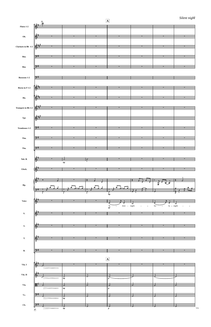|                      |    |                 | $\mathbf{A}$                                                      |          |                                             | Silent night |
|----------------------|----|-----------------|-------------------------------------------------------------------|----------|---------------------------------------------|--------------|
| Flutes 1-2           |    |                 |                                                                   |          |                                             |              |
| Ob.                  |    |                 |                                                                   |          |                                             |              |
|                      |    |                 |                                                                   |          |                                             |              |
| Clarinets in Bb 1-2  |    |                 |                                                                   |          |                                             |              |
|                      |    |                 |                                                                   |          |                                             |              |
| Bsn.                 |    |                 |                                                                   |          |                                             |              |
|                      |    |                 |                                                                   |          |                                             |              |
| Bsn.                 |    |                 |                                                                   |          |                                             |              |
|                      |    |                 |                                                                   |          |                                             |              |
| <b>Bassoons 1-2</b>  | ₽∺ |                 |                                                                   |          |                                             |              |
|                      |    |                 |                                                                   |          |                                             |              |
| Horns in $F$ 1-2     |    |                 |                                                                   |          |                                             |              |
| Hn.                  |    |                 |                                                                   |          |                                             |              |
|                      |    |                 |                                                                   |          |                                             |              |
| Trumpets in Bb 1-2   |    |                 |                                                                   |          |                                             |              |
|                      |    |                 |                                                                   |          |                                             |              |
| Tpt.                 |    |                 |                                                                   |          |                                             |              |
|                      |    |                 |                                                                   |          |                                             |              |
| <b>Trombones 1-2</b> |    |                 |                                                                   |          |                                             |              |
| Tbn.                 | Đ# |                 |                                                                   |          |                                             |              |
|                      |    |                 |                                                                   |          |                                             |              |
| Tba.                 |    |                 |                                                                   |          |                                             |              |
|                      |    |                 |                                                                   |          |                                             |              |
| Tub. B.              |    | $\mathfrak{m}p$ |                                                                   |          |                                             |              |
|                      |    |                 |                                                                   |          |                                             |              |
| Glock.               |    |                 |                                                                   |          |                                             |              |
|                      |    |                 |                                                                   |          |                                             |              |
| Hp.                  |    |                 |                                                                   |          | र्≠<br>₹                                    |              |
|                      |    |                 |                                                                   |          |                                             |              |
|                      |    |                 | $\it mp$                                                          |          |                                             |              |
| $\bf Voice$          |    |                 |                                                                   | $\sigma$ |                                             |              |
|                      |    |                 | $\sum_{m\in\mathbb{Z}}$<br>${\rm lenr}$ - ${\rm night}$<br>$\sim$ |          | $\frac{1}{y}$ night<br>ho<br>$\blacksquare$ |              |
| <b>S.</b>            |    |                 |                                                                   |          |                                             |              |
|                      |    |                 |                                                                   |          |                                             |              |
| <b>A.</b>            |    |                 |                                                                   |          |                                             |              |
|                      |    |                 |                                                                   |          |                                             |              |
| T.                   |    |                 |                                                                   |          |                                             |              |

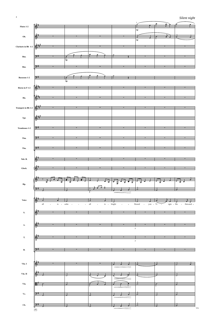



#### *Silent night* <sup>4</sup>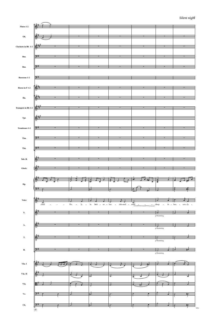### $Silent$  night

| Flutes 1-2           |                                                  |                                    |                |                                          |        |                      |               |  |  |  |
|----------------------|--------------------------------------------------|------------------------------------|----------------|------------------------------------------|--------|----------------------|---------------|--|--|--|
|                      |                                                  |                                    |                |                                          |        |                      |               |  |  |  |
| Ob.                  |                                                  |                                    |                |                                          |        |                      |               |  |  |  |
|                      |                                                  |                                    |                |                                          |        |                      |               |  |  |  |
|                      |                                                  |                                    |                |                                          |        |                      |               |  |  |  |
| Clarinets in Bb 1-2  |                                                  |                                    |                |                                          |        |                      |               |  |  |  |
|                      |                                                  |                                    |                |                                          |        |                      |               |  |  |  |
|                      |                                                  |                                    |                |                                          |        |                      |               |  |  |  |
| Bsn.                 |                                                  |                                    |                |                                          |        |                      |               |  |  |  |
|                      |                                                  |                                    |                |                                          |        |                      |               |  |  |  |
|                      |                                                  |                                    |                |                                          |        |                      |               |  |  |  |
| Bsn.                 |                                                  |                                    |                |                                          |        |                      |               |  |  |  |
|                      |                                                  |                                    |                |                                          |        |                      |               |  |  |  |
|                      |                                                  |                                    |                |                                          |        |                      |               |  |  |  |
| <b>Bassoons 1-2</b>  |                                                  |                                    |                |                                          |        |                      |               |  |  |  |
|                      |                                                  |                                    |                |                                          |        |                      |               |  |  |  |
|                      |                                                  |                                    |                |                                          |        |                      |               |  |  |  |
| Horns in $F$ 1-2     |                                                  |                                    |                |                                          |        |                      |               |  |  |  |
|                      |                                                  |                                    |                |                                          |        |                      |               |  |  |  |
|                      |                                                  |                                    |                |                                          |        |                      |               |  |  |  |
| Hn.                  |                                                  |                                    |                |                                          |        |                      |               |  |  |  |
|                      |                                                  |                                    |                |                                          |        |                      |               |  |  |  |
|                      |                                                  |                                    |                |                                          |        |                      |               |  |  |  |
| Trumpets in Bb 1-2   |                                                  |                                    |                |                                          |        |                      |               |  |  |  |
|                      |                                                  |                                    |                |                                          |        |                      |               |  |  |  |
| Tpt.                 |                                                  |                                    |                |                                          |        |                      |               |  |  |  |
|                      |                                                  |                                    |                |                                          |        |                      |               |  |  |  |
|                      |                                                  |                                    |                |                                          |        |                      |               |  |  |  |
| <b>Trombones 1-2</b> |                                                  |                                    |                |                                          |        |                      |               |  |  |  |
|                      |                                                  |                                    |                |                                          |        |                      |               |  |  |  |
|                      |                                                  |                                    |                |                                          |        |                      |               |  |  |  |
| Tbn.                 |                                                  |                                    |                |                                          |        |                      |               |  |  |  |
|                      |                                                  |                                    |                |                                          |        |                      |               |  |  |  |
|                      |                                                  |                                    |                |                                          |        |                      |               |  |  |  |
| Tba.                 |                                                  |                                    |                |                                          |        |                      |               |  |  |  |
|                      |                                                  |                                    |                |                                          |        |                      |               |  |  |  |
|                      |                                                  |                                    |                |                                          |        |                      |               |  |  |  |
| Tub. B.              |                                                  |                                    |                |                                          |        |                      |               |  |  |  |
|                      |                                                  |                                    |                |                                          |        |                      |               |  |  |  |
| Glock.               |                                                  |                                    |                |                                          |        |                      |               |  |  |  |
|                      |                                                  |                                    |                |                                          |        |                      |               |  |  |  |
|                      |                                                  |                                    |                |                                          |        |                      |               |  |  |  |
|                      |                                                  |                                    |                |                                          |        |                      |               |  |  |  |
|                      |                                                  |                                    |                |                                          |        | 夛                    |               |  |  |  |
| Hp.                  |                                                  |                                    |                |                                          |        |                      |               |  |  |  |
|                      |                                                  |                                    |                |                                          |        |                      |               |  |  |  |
|                      |                                                  |                                    |                |                                          |        |                      |               |  |  |  |
| Voice                |                                                  |                                    |                |                                          |        |                      |               |  |  |  |
|                      |                                                  |                                    |                |                                          |        |                      |               |  |  |  |
|                      | ಾ<br>$\frac{\partial}{\partial x}$ .<br>$\omega$ | ${\rm Ho}$<br>ly<br>$\sim 10^{-1}$ | in fant so ten | $\frac{1}{2}$ der and $\frac{1}{2}$ mild | $\sim$ | $-$ sleep<br>$\sim$  | in hea ven ly |  |  |  |
|                      |                                                  |                                    |                |                                          |        |                      |               |  |  |  |
| <b>S.</b>            |                                                  |                                    |                |                                          |        |                      |               |  |  |  |
|                      |                                                  |                                    |                |                                          |        | $\mathbf{p}$ Humming |               |  |  |  |
|                      |                                                  |                                    |                |                                          |        |                      |               |  |  |  |
| <b>A.</b>            |                                                  |                                    |                |                                          |        |                      |               |  |  |  |
|                      |                                                  |                                    |                |                                          |        |                      |               |  |  |  |
|                      |                                                  |                                    |                |                                          |        | $\mathbf p$ Humming  |               |  |  |  |
|                      |                                                  |                                    |                |                                          |        |                      |               |  |  |  |
| T.                   |                                                  |                                    |                |                                          |        |                      |               |  |  |  |
|                      |                                                  |                                    |                |                                          |        |                      |               |  |  |  |